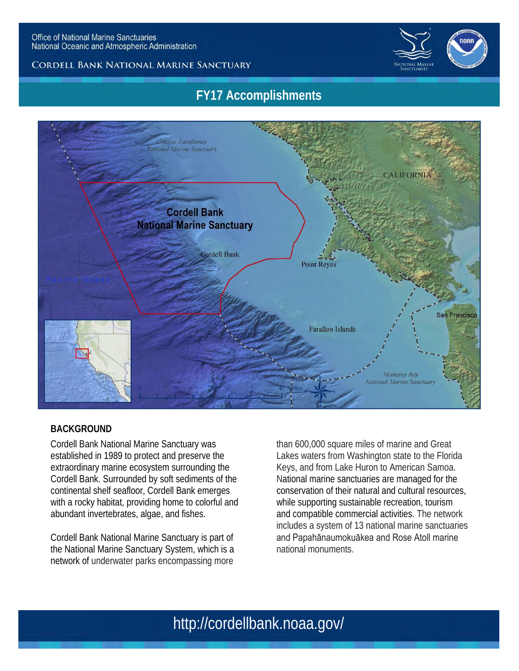

#### **CORDELL BANK NATIONAL MARINE SANCTUARY**

## **FY17 Accomplishments**



#### **BACKGROUND**

Cordell Bank National Marine Sanctuary was established in 1989 to protect and preserve the extraordinary marine ecosystem surrounding the Cordell Bank. Surrounded by soft sediments of the continental shelf seafloor, Cordell Bank emerges with a rocky habitat, providing home to colorful and abundant invertebrates, algae, and fishes.

Cordell Bank National Marine Sanctuary is part of the National Marine Sanctuary System, which is a network of underwater parks encompassing more

than 600,000 square miles of marine and Great Lakes waters from Washington state to the Florida Keys, and from Lake Huron to American Samoa. National marine sanctuaries are managed for the conservation of their natural and cultural resources, while supporting sustainable recreation, tourism and compatible commercial activities. The network includes a system of 13 national marine sanctuaries and Papahānaumokuākea and Rose Atoll marine national monuments.